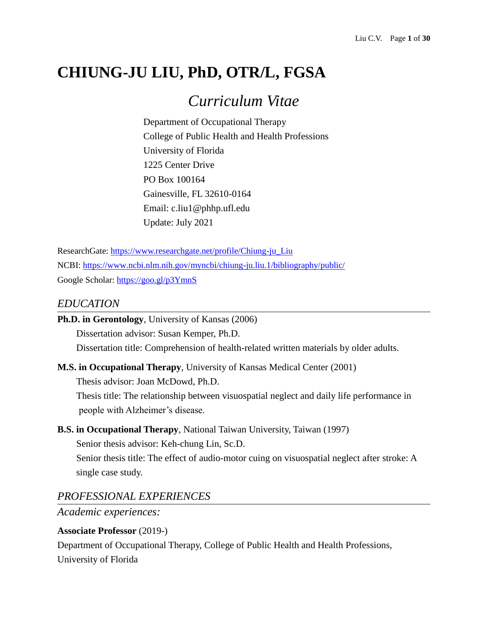# **CHIUNG-JU LIU, PhD, OTR/L, FGSA**

# *Curriculum Vitae*

Department of Occupational Therapy College of Public Health and Health Professions University of Florida 1225 Center Drive PO Box 100164 Gainesville, FL 32610-0164 Email: c.liu1@phhp.ufl.edu Update: July 2021

ResearchGate: [https://www.researchgate.net/profile/Chiung-ju\\_Liu](https://www.researchgate.net/profile/Chiung-ju_Liu) NCBI:<https://www.ncbi.nlm.nih.gov/myncbi/chiung-ju.liu.1/bibliography/public/> Google Scholar:<https://goo.gl/p3YmnS>

# *EDUCATION*

| <b>Ph.D. in Gerontology</b> , University of Kansas (2006)                              |  |  |  |
|----------------------------------------------------------------------------------------|--|--|--|
| Dissertation advisor: Susan Kemper, Ph.D.                                              |  |  |  |
| Dissertation title: Comprehension of health-related written materials by older adults. |  |  |  |

### **M.S. in Occupational Therapy**, University of Kansas Medical Center (2001)

Thesis advisor: Joan McDowd, Ph.D. Thesis title: The relationship between visuospatial neglect and daily life performance in people with Alzheimer's disease.

# **B.S. in Occupational Therapy**, National Taiwan University, Taiwan (1997)

Senior thesis advisor: Keh-chung Lin, Sc.D.

Senior thesis title: The effect of audio-motor cuing on visuospatial neglect after stroke: A single case study.

# *PROFESSIONAL EXPERIENCES*

*Academic experiences:*

### **Associate Professor** (2019-)

Department of Occupational Therapy, College of Public Health and Health Professions, University of Florida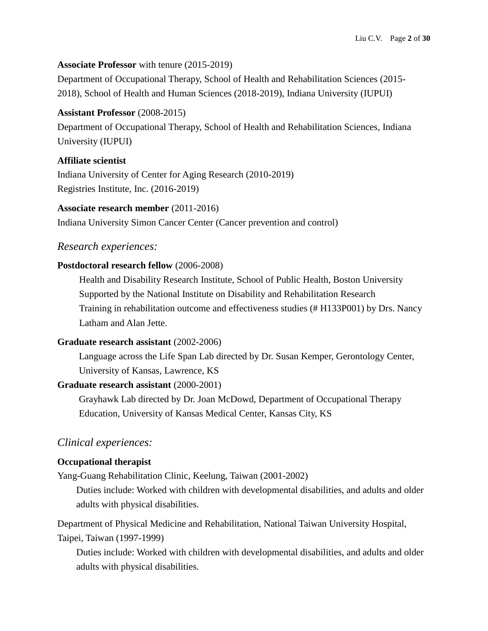### **Associate Professor** with tenure (2015-2019)

Department of Occupational Therapy, School of Health and Rehabilitation Sciences (2015- 2018), School of Health and Human Sciences (2018-2019), Indiana University (IUPUI)

### **Assistant Professor** (2008-2015)

Department of Occupational Therapy, School of Health and Rehabilitation Sciences, Indiana University (IUPUI)

### **Affiliate scientist**

Indiana University of Center for Aging Research (2010-2019) Registries Institute, Inc. (2016-2019)

### **Associate research member** (2011-2016)

Indiana University Simon Cancer Center (Cancer prevention and control)

# *Research experiences:*

### **Postdoctoral research fellow** (2006-2008)

Health and Disability Research Institute, School of Public Health, Boston University Supported by the National Institute on Disability and Rehabilitation Research Training in rehabilitation outcome and effectiveness studies (# H133P001) by Drs. Nancy Latham and Alan Jette.

### **Graduate research assistant** (2002-2006)

Language across the Life Span Lab directed by Dr. Susan Kemper, Gerontology Center, University of Kansas, Lawrence, KS

### **Graduate research assistant** (2000-2001)

Grayhawk Lab directed by Dr. Joan McDowd, Department of Occupational Therapy Education, University of Kansas Medical Center, Kansas City, KS

# *Clinical experiences:*

### **Occupational therapist**

Yang-Guang Rehabilitation Clinic, Keelung, Taiwan (2001-2002)

Duties include: Worked with children with developmental disabilities, and adults and older adults with physical disabilities.

Department of Physical Medicine and Rehabilitation, National Taiwan University Hospital, Taipei, Taiwan (1997-1999)

Duties include: Worked with children with developmental disabilities, and adults and older adults with physical disabilities.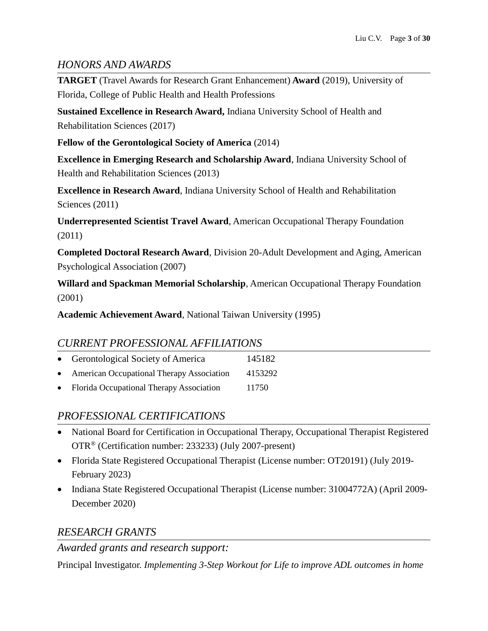# *HONORS AND AWARDS*

**TARGET** (Travel Awards for Research Grant Enhancement) **Award** (2019), University of Florida, College of Public Health and Health Professions

**Sustained Excellence in Research Award,** Indiana University School of Health and Rehabilitation Sciences (2017)

**Fellow of the Gerontological Society of America** (2014)

**Excellence in Emerging Research and Scholarship Award**, Indiana University School of Health and Rehabilitation Sciences (2013)

**Excellence in Research Award***,* Indiana University School of Health and Rehabilitation Sciences (2011)

**Underrepresented Scientist Travel Award***,* American Occupational Therapy Foundation (2011)

**Completed Doctoral Research Award**, Division 20-Adult Development and Aging, American Psychological Association (2007)

**Willard and Spackman Memorial Scholarship***,* American Occupational Therapy Foundation (2001)

**Academic Achievement Award***,* National Taiwan University (1995)

# *CURRENT PROFESSIONAL AFFILIATIONS*

| $\bullet$ | Gerontological Society of America         | 145182  |
|-----------|-------------------------------------------|---------|
| $\bullet$ | American Occupational Therapy Association | 4153292 |
| $\bullet$ | Florida Occupational Therapy Association  | 11750   |

# *PROFESSIONAL CERTIFICATIONS*

- National Board for Certification in Occupational Therapy, Occupational Therapist Registered OTR® (Certification number: 233233) (July 2007-present)
- Florida State Registered Occupational Therapist (License number: OT20191) (July 2019- February 2023)
- Indiana State Registered Occupational Therapist (License number: 31004772A) (April 2009-December 2020)

# *RESEARCH GRANTS*

# *Awarded grants and research support:*

Principal Investigator. *Implementing 3-Step Workout for Life to improve ADL outcomes in home*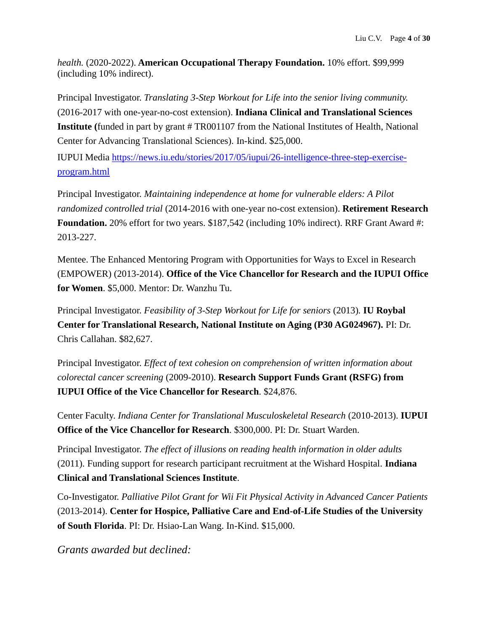*health.* (2020-2022). **American Occupational Therapy Foundation.** 10% effort. \$99,999 (including 10% indirect).

Principal Investigator. *Translating 3-Step Workout for Life into the senior living community.* (2016-2017 with one-year-no-cost extension). **Indiana Clinical and Translational Sciences Institute (**funded in part by grant # TR001107 from the National Institutes of Health, National Center for Advancing Translational Sciences). In-kind. \$25,000.

IUPUI Media [https://news.iu.edu/stories/2017/05/iupui/26-intelligence-three-step-exercise](https://news.iu.edu/stories/2017/05/iupui/26-intelligence-three-step-exercise-program.html)[program.html](https://news.iu.edu/stories/2017/05/iupui/26-intelligence-three-step-exercise-program.html)

Principal Investigator. *Maintaining independence at home for vulnerable elders: A Pilot randomized controlled trial* (2014-2016 with one-year no-cost extension). **Retirement Research Foundation.** 20% effort for two years. \$187,542 (including 10% indirect). RRF Grant Award #: 2013-227.

Mentee. The Enhanced Mentoring Program with Opportunities for Ways to Excel in Research (EMPOWER) (2013-2014). **Office of the Vice Chancellor for Research and the IUPUI Office for Women**. \$5,000. Mentor: Dr. Wanzhu Tu.

Principal Investigator. *Feasibility of 3-Step Workout for Life for seniors* (2013)*.* **IU Roybal Center for Translational Research, National Institute on Aging (P30 AG024967).** PI: Dr. Chris Callahan. \$82,627.

Principal Investigator. *Effect of text cohesion on comprehension of written information about colorectal cancer screening* (2009-2010). **Research Support Funds Grant (RSFG) from IUPUI Office of the Vice Chancellor for Research**. \$24,876.

Center Faculty. *Indiana Center for Translational Musculoskeletal Research* (2010-2013). **IUPUI Office of the Vice Chancellor for Research**. \$300,000. PI: Dr. Stuart Warden.

Principal Investigator. *The effect of illusions on reading health information in older adults* (2011). Funding support for research participant recruitment at the Wishard Hospital. **Indiana Clinical and Translational Sciences Institute**.

Co-Investigator. *Palliative Pilot Grant for Wii Fit Physical Activity in Advanced Cancer Patients*  (2013-2014). **Center for Hospice, Palliative Care and End-of-Life Studies of the University of South Florida**. PI: Dr. Hsiao-Lan Wang. In-Kind. \$15,000.

*Grants awarded but declined:*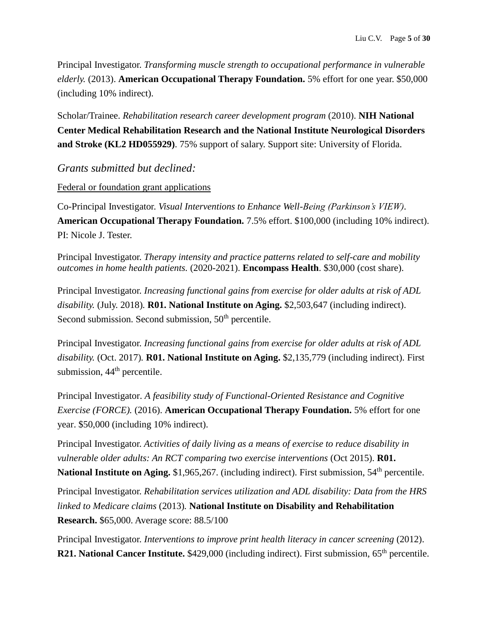Principal Investigator. *Transforming muscle strength to occupational performance in vulnerable elderly.* (2013). **American Occupational Therapy Foundation.** 5% effort for one year. \$50,000 (including 10% indirect).

Scholar/Trainee. *Rehabilitation research career development program* (2010). **NIH National Center Medical Rehabilitation Research and the National Institute Neurological Disorders and Stroke (KL2 HD055929)**. 75% support of salary. Support site: University of Florida.

*Grants submitted but declined:*

#### Federal or foundation grant applications

Co-Principal Investigator. *Visual Interventions to Enhance Well-Being (Parkinson's VIEW).* **American Occupational Therapy Foundation.** 7.5% effort. \$100,000 (including 10% indirect). PI: Nicole J. Tester.

Principal Investigator. *Therapy intensity and practice patterns related to self-care and mobility outcomes in home health patients.* (2020-2021). **Encompass Health**. \$30,000 (cost share).

Principal Investigator. *Increasing functional gains from exercise for older adults at risk of ADL disability.* (July. 2018)*.* **R01. National Institute on Aging.** \$2,503,647 (including indirect). Second submission. Second submission, 50<sup>th</sup> percentile.

Principal Investigator. *Increasing functional gains from exercise for older adults at risk of ADL disability.* (Oct. 2017)*.* **R01. National Institute on Aging.** \$2,135,779 (including indirect). First submission,  $44<sup>th</sup>$  percentile.

Principal Investigator. *A feasibility study of Functional-Oriented Resistance and Cognitive Exercise (FORCE).* (2016). **American Occupational Therapy Foundation.** 5% effort for one year. \$50,000 (including 10% indirect).

Principal Investigator. *Activities of daily living as a means of exercise to reduce disability in vulnerable older adults: An RCT comparing two exercise interventions* (Oct 2015). **R01. National Institute on Aging.** \$1,965,267. (including indirect). First submission, 54<sup>th</sup> percentile.

Principal Investigator. *Rehabilitation services utilization and ADL disability: Data from the HRS linked to Medicare claims* (2013)*.* **National Institute on Disability and Rehabilitation Research.** \$65,000. Average score: 88.5/100

Principal Investigator. *Interventions to improve print health literacy in cancer screening* (2012). **R21. National Cancer Institute.** \$429,000 (including indirect). First submission, 65<sup>th</sup> percentile.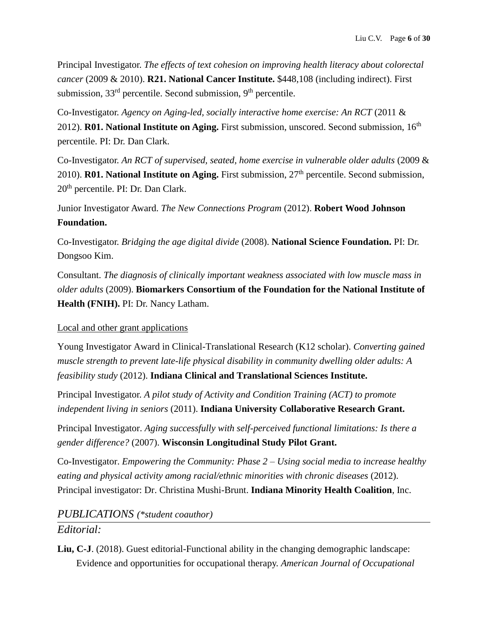Principal Investigator. *The effects of text cohesion on improving health literacy about colorectal cancer* (2009 & 2010). **R21. National Cancer Institute.** \$448,108 (including indirect). First submission, 33<sup>rd</sup> percentile. Second submission, 9<sup>th</sup> percentile.

Co-Investigator. *Agency on Aging-led, socially interactive home exercise: An RCT* (2011 & 2012). **R01. National Institute on Aging.** First submission, unscored. Second submission, 16<sup>th</sup> percentile. PI: Dr. Dan Clark.

Co-Investigator. *An RCT of supervised, seated, home exercise in vulnerable older adults* (2009 & 2010). **R01. National Institute on Aging.** First submission, 27th percentile. Second submission, 20<sup>th</sup> percentile. PI: Dr. Dan Clark.

Junior Investigator Award. *The New Connections Program* (2012). **Robert Wood Johnson Foundation.**

Co-Investigator. *Bridging the age digital divide* (2008). **National Science Foundation.** PI: Dr. Dongsoo Kim.

Consultant. *The diagnosis of clinically important weakness associated with low muscle mass in older adults* (2009). **Biomarkers Consortium of the Foundation for the National Institute of Health (FNIH).** PI: Dr. Nancy Latham.

### Local and other grant applications

Young Investigator Award in Clinical-Translational Research (K12 scholar). *Converting gained muscle strength to prevent late-life physical disability in community dwelling older adults: A feasibility study* (2012). **Indiana Clinical and Translational Sciences Institute.**

Principal Investigator. *A pilot study of Activity and Condition Training (ACT) to promote independent living in seniors* (2011). **Indiana University Collaborative Research Grant.**

Principal Investigator. *Aging successfully with self-perceived functional limitations: Is there a gender difference?* (2007). **Wisconsin Longitudinal Study Pilot Grant.**

Co-Investigator. *Empowering the Community: Phase 2 – Using social media to increase healthy eating and physical activity among racial/ethnic minorities with chronic diseases* (2012). Principal investigator: Dr. Christina Mushi-Brunt. **Indiana Minority Health Coalition**, Inc.

# *PUBLICATIONS (\*student coauthor)*

# *Editorial:*

**Liu, C-J**. (2018). Guest editorial-Functional ability in the changing demographic landscape: Evidence and opportunities for occupational therapy. *American Journal of Occupational*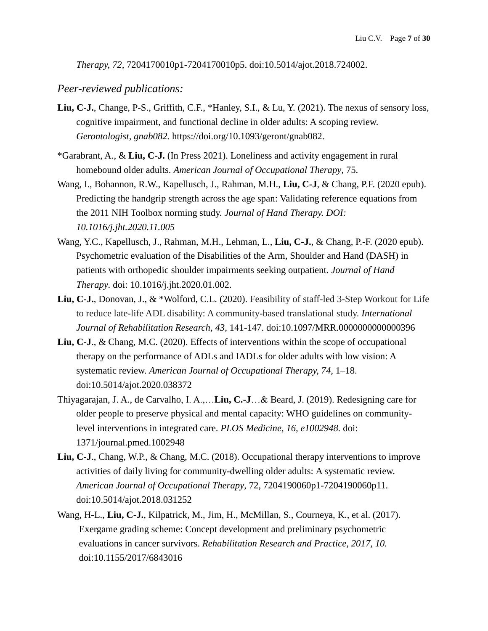*Therapy, 72,* 7204170010p1-7204170010p5. doi:10.5014/ajot.2018.724002.

#### *Peer-reviewed publications:*

- **Liu, C-J.**, Change, P-S., Griffith, C.F., \*Hanley, S.I., & Lu, Y. (2021). The nexus of sensory loss, cognitive impairment, and functional decline in older adults: A scoping review. *Gerontologist, gnab082.* https://doi.org/10.1093/geront/gnab082.
- \*Garabrant, A., & **Liu, C-J.** (In Press 2021). Loneliness and activity engagement in rural homebound older adults. *American Journal of Occupational Therapy*, 75.
- Wang, I., Bohannon, R.W., Kapellusch, J., Rahman, M.H., **Liu, C-J**, & Chang, P.F. (2020 epub). Predicting the handgrip strength across the age span: Validating reference equations from the 2011 NIH Toolbox norming study. *Journal of Hand Therapy. DOI: 10.1016/j.jht.2020.11.005*
- Wang, Y.C., Kapellusch, J., Rahman, M.H., Lehman, L., **Liu, C-J.**, & Chang, P.-F. (2020 epub). Psychometric evaluation of the Disabilities of the Arm, Shoulder and Hand (DASH) in patients with orthopedic shoulder impairments seeking outpatient. *Journal of Hand Therapy.* doi: 10.1016/j.jht.2020.01.002.
- **Liu, C-J.**, Donovan, J., & \*Wolford, C.L. (2020). Feasibility of staff-led 3-Step Workout for Life to reduce late-life ADL disability: A community-based translational study. *International Journal of Rehabilitation Research, 43,* 141-147. doi:10.1097/MRR.0000000000000396
- **Liu, C-J**., & Chang, M.C. (2020). Effects of interventions within the scope of occupational therapy on the performance of ADLs and IADLs for older adults with low vision: A systematic review. *American Journal of Occupational Therapy, 74,* 1–18. doi:10.5014/ajot.2020.038372
- Thiyagarajan, J. A., de Carvalho, I. A.,…**Liu, C.-J**…& Beard, J. (2019). Redesigning care for older people to preserve physical and mental capacity: WHO guidelines on communitylevel interventions in integrated care. *PLOS Medicine, 16, e1002948.* doi: 1371/journal.pmed.1002948
- **Liu, C-J**., Chang, W.P., & Chang, M.C. (2018). Occupational therapy interventions to improve activities of daily living for community-dwelling older adults: A systematic review. *American Journal of Occupational Therapy*, 72, 7204190060p1-7204190060p11. doi:10.5014/ajot.2018.031252
- Wang, H-L., **Liu, C-J.**, Kilpatrick, M., Jim, H., McMillan, S., Courneya, K., et al. (2017). Exergame grading scheme: Concept development and preliminary psychometric evaluations in cancer survivors. *Rehabilitation Research and Practice, 2017, 10.* doi:10.1155/2017/6843016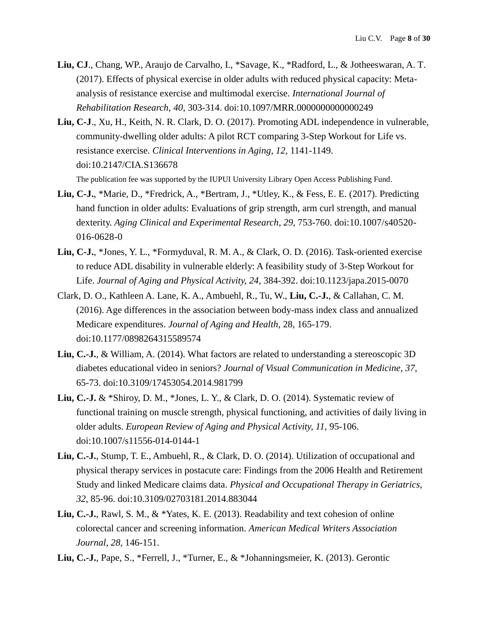- **Liu, CJ**., Chang, WP., Araujo de Carvalho, I., \*Savage, K., \*Radford, L., & Jotheeswaran, A. T. (2017). Effects of physical exercise in older adults with reduced physical capacity: Metaanalysis of resistance exercise and multimodal exercise. *International Journal of Rehabilitation Research, 40,* 303-314. doi:10.1097/MRR.0000000000000249
- **Liu, C-J**., Xu, H., Keith, N. R. Clark, D. O. (2017). Promoting ADL independence in vulnerable, community-dwelling older adults: A pilot RCT comparing 3-Step Workout for Life vs. resistance exercise. *Clinical Interventions in Aging, 12,* 1141-1149. doi:10.2147/CIA.S136678 The publication fee was supported by the IUPUI University Library Open Access Publishing Fund.
- **Liu, C-J.**, \*Marie, D., \*Fredrick, A., \*Bertram, J., \*Utley, K., & Fess, E. E. (2017). Predicting hand function in older adults: Evaluations of grip strength, arm curl strength, and manual dexterity. Aging Clinical and Experimental Research, 29, 753-760. doi:10.1007/s40520-016-0628-0
- **Liu, C-J.**, \*Jones, Y. L., \*Formyduval, R. M. A., & Clark, O. D. (2016). Task-oriented exercise to reduce ADL disability in vulnerable elderly: A feasibility study of 3-Step Workout for Life. *Journal of Aging and Physical Activity, 24,* 384-392. doi:10.1123/japa.2015-0070
- Clark, D. O., Kathleen A. Lane, K. A., Ambuehl, R., Tu, W., **Liu, C.-J.**, & Callahan, C. M. (2016). Age differences in the association between body-mass index class and annualized Medicare expenditures. *Journal of Aging and Health*, 28, 165-179. doi:10.1177/0898264315589574
- **Liu, C.-J.**, & William, A. (2014). What factors are related to understanding a stereoscopic 3D diabetes educational video in seniors? *Journal of Visual Communication in Medicine, 37,*  65-73. doi:10.3109/17453054.2014.981799
- **Liu, C.-J.** & \*Shiroy, D. M., \*Jones, L. Y., & Clark, D. O. (2014). Systematic review of functional training on muscle strength, physical functioning, and activities of daily living in older adults. *European Review of Aging and Physical Activity, 11,* 95-106. doi:10.1007/s11556-014-0144-1
- **Liu, C.-J.**, Stump, T. E., Ambuehl, R., & Clark, D. O. (2014). Utilization of occupational and physical therapy services in postacute care: Findings from the 2006 Health and Retirement Study and linked Medicare claims data. *Physical and Occupational Therapy in Geriatrics, 32,* 85-96. doi:10.3109/02703181.2014.883044
- **Liu, C.-J.**, Rawl, S. M., & \*Yates, K. E. (2013). Readability and text cohesion of online colorectal cancer and screening information. *American Medical Writers Association Journal, 28,* 146-151.
- **Liu, C.-J.**, Pape, S., \*Ferrell, J., \*Turner, E., & \*Johanningsmeier, K. (2013). Gerontic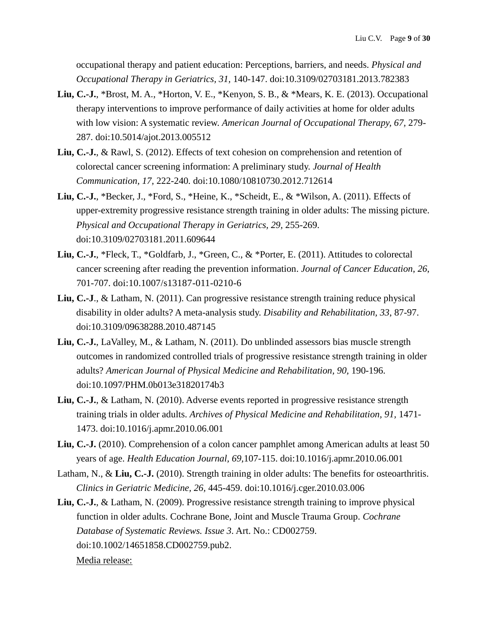occupational therapy and patient education: Perceptions, barriers, and needs. *Physical and Occupational Therapy in Geriatrics, 31,* 140-147. doi:10.3109/02703181.2013.782383

- **Liu, C.-J.**, \*Brost, M. A., \*Horton, V. E., \*Kenyon, S. B., & \*Mears, K. E. (2013). Occupational therapy interventions to improve performance of daily activities at home for older adults with low vision: A systematic review. *American Journal of Occupational Therapy, 67,* 279- 287. doi:10.5014/ajot.2013.005512
- **Liu, C.-J.**, & Rawl, S. (2012). Effects of text cohesion on comprehension and retention of colorectal cancer screening information: A preliminary study. *Journal of Health Communication, 17,* 222-240*.* doi:10.1080/10810730.2012.712614
- **Liu, C.-J.**, \*Becker, J., \*Ford, S., \*Heine, K., \*Scheidt, E., & \*Wilson, A. (2011). Effects of upper-extremity progressive resistance strength training in older adults: The missing picture. *Physical and Occupational Therapy in Geriatrics, 29,* 255-269. doi:10.3109/02703181.2011.609644
- **Liu, C.-J.**, \*Fleck, T., \*Goldfarb, J., \*Green, C., & \*Porter, E. (2011). Attitudes to colorectal cancer screening after reading the prevention information. *Journal of Cancer Education*, *26*, 701-707. doi:10.1007/s13187-011-0210-6
- **Liu, C.-J**., & Latham, N. (2011). Can progressive resistance strength training reduce physical disability in older adults? A meta-analysis study. *Disability and Rehabilitation, 33*, 87-97. doi:10.3109/09638288.2010.487145
- **Liu, C.-J.**, LaValley, M., & Latham, N. (2011). Do unblinded assessors bias muscle strength outcomes in randomized controlled trials of progressive resistance strength training in older adults? *American Journal of Physical Medicine and Rehabilitation, 90,* 190-196. doi:10.1097/PHM.0b013e31820174b3
- **Liu, C.-J.**, & Latham, N. (2010). Adverse events reported in progressive resistance strength training trials in older adults. *Archives of Physical Medicine and Rehabilitation, 91,* 1471- 1473. doi:10.1016/j.apmr.2010.06.001
- **Liu, C.-J.** (2010). Comprehension of a colon cancer pamphlet among American adults at least 50 years of age. *Health Education Journal, 69,*107-115. doi:10.1016/j.apmr.2010.06.001
- Latham, N., & **Liu, C.-J.** (2010). Strength training in older adults: The benefits for osteoarthritis. *Clinics in Geriatric Medicine, 26,* 445-459. doi:10.1016/j.cger.2010.03.006
- **Liu, C.-J.**, & Latham, N. (2009). Progressive resistance strength training to improve physical function in older adults. Cochrane Bone, Joint and Muscle Trauma Group. *Cochrane Database of Systematic Reviews. Issue 3*. Art. No.: CD002759. doi:10.1002/14651858.CD002759.pub2. Media release: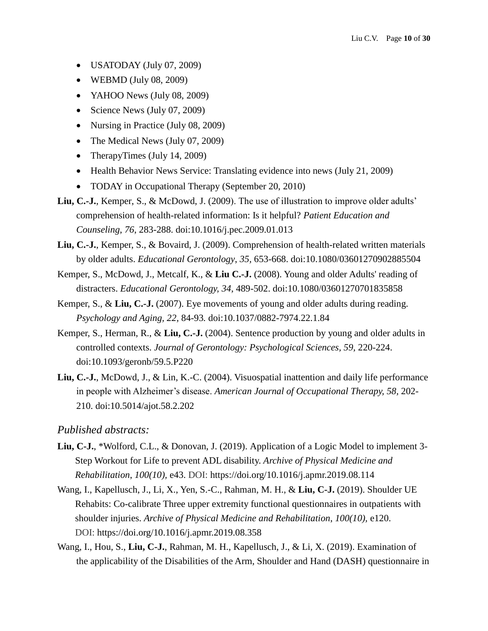- USATODAY (July 07, 2009)
- $\bullet$  WEBMD (July 08, 2009)
- YAHOO News (July 08, 2009)
- Science News (July 07, 2009)
- Nursing in Practice (July 08, 2009)
- The Medical News (July 07, 2009)
- TherapyTimes (July 14, 2009)
- Health Behavior News Service: Translating evidence into news (July 21, 2009)
- TODAY in Occupational Therapy (September 20, 2010)
- **Liu, C.-J.**, Kemper, S., & McDowd, J. (2009). The use of illustration to improve older adults' comprehension of health-related information: Is it helpful? *Patient Education and Counseling*, *76*, 283-288. doi:10.1016/j.pec.2009.01.013
- **Liu, C.-J.**, Kemper, S., & Bovaird, J. (2009). Comprehension of health-related written materials by older adults. *Educational Gerontology*, *35,* 653-668. doi:10.1080/03601270902885504
- Kemper, S., McDowd, J., Metcalf, K., & **Liu C.-J.** (2008). Young and older Adults' reading of distracters. *Educational Gerontology, 34,* 489-502. doi:10.1080/03601270701835858
- Kemper, S., & **Liu, C.-J.** (2007). Eye movements of young and older adults during reading. *Psychology and Aging, 22,* 84-93*.* doi:10.1037/0882-7974.22.1.84
- Kemper, S., Herman, R., & **Liu, C.-J.** (2004). Sentence production by young and older adults in controlled contexts. *Journal of Gerontology: Psychological Sciences, 59,* 220-224. doi:10.1093/geronb/59.5.P220
- **Liu, C.-J.**, McDowd, J., & Lin, K.-C. (2004). Visuospatial inattention and daily life performance in people with Alzheimer's disease. *American Journal of Occupational Therapy, 58,* 202- 210. doi:10.5014/ajot.58.2.202

### *Published abstracts:*

- **Liu, C-J.**, \*Wolford, C.L., & Donovan, J. (2019). Application of a Logic Model to implement 3- Step Workout for Life to prevent ADL disability. *Archive of Physical Medicine and Rehabilitation*, *100(10),* e43. DOI: https://doi.org/10.1016/j.apmr.2019.08.114
- Wang, I., Kapellusch, J., Li, X., Yen, S.-C., Rahman, M. H., & **Liu, C-J.** (2019). Shoulder UE Rehabits: Co-calibrate Three upper extremity functional questionnaires in outpatients with shoulder injuries. *Archive of Physical Medicine and Rehabilitation*, *100(10),* e120. DOI: https://doi.org/10.1016/j.apmr.2019.08.358
- Wang, I., Hou, S., **Liu, C-J.**, Rahman, M. H., Kapellusch, J., & Li, X. (2019). Examination of the applicability of the Disabilities of the Arm, Shoulder and Hand (DASH) questionnaire in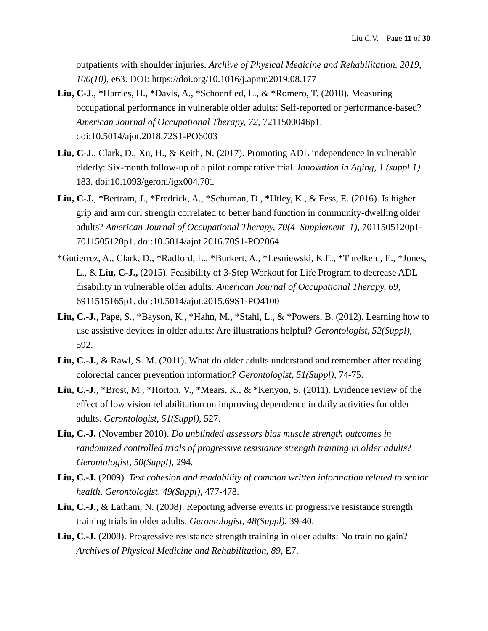outpatients with shoulder injuries. *Archive of Physical Medicine and Rehabilitation. 2019, 100(10)*, e63. DOI: https://doi.org/10.1016/j.apmr.2019.08.177

- **Liu, C-J.**, \*Harries, H., \*Davis, A., \*Schoenfled, L., & \*Romero, T. (2018). Measuring occupational performance in vulnerable older adults: Self-reported or performance-based? *American Journal of Occupational Therapy, 72,* 7211500046p1. doi:10.5014/ajot.2018.72S1-PO6003
- **Liu, C-J.**, Clark, D., Xu, H., & Keith, N. (2017). Promoting ADL independence in vulnerable elderly: Six-month follow-up of a pilot comparative trial. *Innovation in Aging, 1 (suppl 1)* 183. doi:10.1093/geroni/igx004.701
- **Liu, C-J.**, \*Bertram, J., \*Fredrick, A., \*Schuman, D., \*Utley, K., & Fess, E. (2016). Is higher grip and arm curl strength correlated to better hand function in community-dwelling older adults? *American Journal of Occupational Therapy, 70(4\_Supplement\_1),* 7011505120p1- 7011505120p1. doi:10.5014/ajot.2016.70S1-PO2064
- \*Gutierrez, A., Clark, D., \*Radford, L., \*Burkert, A., \*Lesniewski, K.E., \*Threlkeld, E., \*Jones, L., & **Liu, C-J.,** (2015). Feasibility of 3-Step Workout for Life Program to decrease ADL disability in vulnerable older adults. *American Journal of Occupational Therapy, 69,* 6911515165p1. doi:10.5014/ajot.2015.69S1-PO4100
- **Liu, C.-J.**, Pape, S., \*Bayson, K., \*Hahn, M., \*Stahl, L., & \*Powers, B. (2012). Learning how to use assistive devices in older adults: Are illustrations helpful? *Gerontologist, 52(Suppl),* 592.
- **Liu, C.-J.**, & Rawl, S. M. (2011). What do older adults understand and remember after reading colorectal cancer prevention information? *Gerontologist, 51(Suppl),* 74-75.
- **Liu, C.-J.**, \*Brost, M., \*Horton, V., \*Mears, K., & \*Kenyon, S. (2011). Evidence review of the effect of low vision rehabilitation on improving dependence in daily activities for older adults. *Gerontologist, 51(Suppl),* 527.
- **Liu, C.-J.** (November 2010). *Do unblinded assessors bias muscle strength outcomes in randomized controlled trials of progressive resistance strength training in older adults*? *Gerontologist, 50(Suppl),* 294.
- **Liu, C.-J.** (2009). *Text cohesion and readability of common written information related to senior health*. *Gerontologist, 49(Suppl),* 477-478.
- **Liu, C.-J.**, & Latham, N. (2008). Reporting adverse events in progressive resistance strength training trials in older adults. *Gerontologist, 48(Suppl),* 39-40.
- Liu, C.-J. (2008). Progressive resistance strength training in older adults: No train no gain? *Archives of Physical Medicine and Rehabilitation, 89,* E7.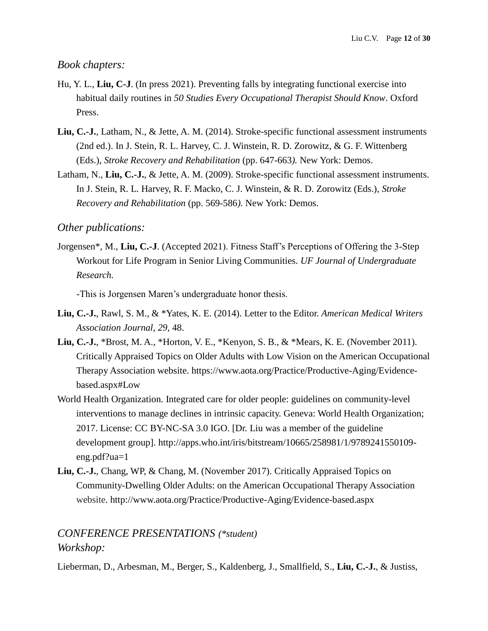# *Book chapters:*

- Hu, Y. L., **Liu, C-J**. (In press 2021). Preventing falls by integrating functional exercise into habitual daily routines in *50 Studies Every Occupational Therapist Should Know*. Oxford Press.
- **Liu, C.-J.**, Latham, N., & Jette, A. M. (2014). Stroke-specific functional assessment instruments (2nd ed.). In J. Stein, R. L. Harvey, C. J. Winstein, R. D. Zorowitz, & G. F. Wittenberg (Eds.), *Stroke Recovery and Rehabilitation* (pp. 647-663*).* New York: Demos.
- Latham, N., **Liu, C.-J.**, & Jette, A. M. (2009). Stroke-specific functional assessment instruments. In J. Stein, R. L. Harvey, R. F. Macko, C. J. Winstein, & R. D. Zorowitz (Eds.), *Stroke Recovery and Rehabilitation* (pp. 569-586*).* New York: Demos.

### *Other publications:*

Jorgensen\*, M., **Liu, C.-J**. (Accepted 2021). Fitness Staff's Perceptions of Offering the 3-Step Workout for Life Program in Senior Living Communities. *UF Journal of Undergraduate Research.* 

-This is Jorgensen Maren's undergraduate honor thesis.

- **Liu, C.-J.**, Rawl, S. M., & \*Yates, K. E. (2014). Letter to the Editor. *American Medical Writers Association Journal, 29,* 48.
- **Liu, C.-J.**, \*Brost, M. A., \*Horton, V. E., \*Kenyon, S. B., & \*Mears, K. E. (November 2011). Critically Appraised Topics on Older Adults with Low Vision on the American Occupational Therapy Association website. https://www.aota.org/Practice/Productive-Aging/Evidencebased.aspx#Low
- World Health Organization. Integrated care for older people: guidelines on community-level interventions to manage declines in intrinsic capacity. Geneva: World Health Organization; 2017. License: CC BY-NC-SA 3.0 IGO. [Dr. Liu was a member of the guideline development group]. http://apps.who.int/iris/bitstream/10665/258981/1/9789241550109 eng.pdf?ua=1
- **Liu, C.-J.**, Chang, WP, & Chang, M. (November 2017). Critically Appraised Topics on Community-Dwelling Older Adults: on the American Occupational Therapy Association website. http://www.aota.org/Practice/Productive-Aging/Evidence-based.aspx

# *CONFERENCE PRESENTATIONS (\*student) Workshop:*

Lieberman, D., Arbesman, M., Berger, S., Kaldenberg, J., Smallfield, S., **Liu, C.-J.**, & Justiss,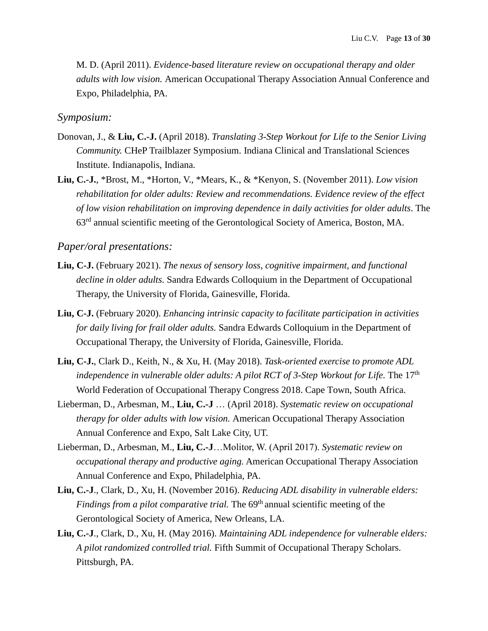M. D. (April 2011). *Evidence-based literature review on occupational therapy and older adults with low vision.* American Occupational Therapy Association Annual Conference and Expo, Philadelphia, PA.

#### *Symposium:*

- Donovan, J., & **Liu, C.-J.** (April 2018). *Translating 3-Step Workout for Life to the Senior Living Community.* CHeP Trailblazer Symposium. Indiana Clinical and Translational Sciences Institute. Indianapolis, Indiana.
- **Liu, C.-J.**, \*Brost, M., \*Horton, V., \*Mears, K., & \*Kenyon, S. (November 2011). *Low vision rehabilitation for older adults: Review and recommendations. Evidence review of the effect of low vision rehabilitation on improving dependence in daily activities for older adults*. The 63rd annual scientific meeting of the Gerontological Society of America, Boston, MA.

### *Paper/oral presentations:*

- **Liu, C-J.** (February 2021). *The nexus of sensory loss, cognitive impairment, and functional decline in older adults.* Sandra Edwards Colloquium in the Department of Occupational Therapy, the University of Florida, Gainesville, Florida.
- **Liu, C-J.** (February 2020). *Enhancing intrinsic capacity to facilitate participation in activities for daily living for frail older adults.* Sandra Edwards Colloquium in the Department of Occupational Therapy, the University of Florida, Gainesville, Florida.
- **Liu, C-J.**, Clark D., Keith, N., & Xu, H. (May 2018). *Task-oriented exercise to promote ADL independence in vulnerable older adults: A pilot RCT of 3-Step Workout for Life.* The 17<sup>th</sup> World Federation of Occupational Therapy Congress 2018. Cape Town, South Africa.
- Lieberman, D., Arbesman, M., **Liu, C.-J** … (April 2018). *Systematic review on occupational therapy for older adults with low vision.* American Occupational Therapy Association Annual Conference and Expo, Salt Lake City, UT.
- Lieberman, D., Arbesman, M., **Liu, C.-J**…Molitor, W. (April 2017). *Systematic review on occupational therapy and productive aging.* American Occupational Therapy Association Annual Conference and Expo, Philadelphia, PA.
- **Liu, C.-J**., Clark, D., Xu, H. (November 2016). *Reducing ADL disability in vulnerable elders: Findings from a pilot comparative trial.* The 69<sup>th</sup> annual scientific meeting of the Gerontological Society of America, New Orleans, LA.
- **Liu, C.-J**., Clark, D., Xu, H. (May 2016). *Maintaining ADL independence for vulnerable elders: A pilot randomized controlled trial.* Fifth Summit of Occupational Therapy Scholars. Pittsburgh, PA.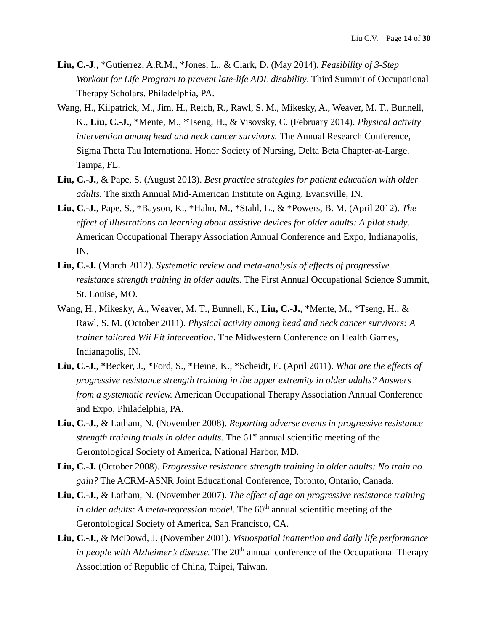- **Liu, C.-J**., \*Gutierrez, A.R.M., \*Jones, L., & Clark, D. (May 2014). *Feasibility of 3-Step Workout for Life Program to prevent late-life ADL disability*. Third Summit of Occupational Therapy Scholars. Philadelphia, PA.
- Wang, H., Kilpatrick, M., Jim, H., Reich, R., Rawl, S. M., Mikesky, A., Weaver, M. T., Bunnell, K., **Liu, C.-J.,** \*Mente, M., \*Tseng, H., & Visovsky, C. (February 2014). *Physical activity intervention among head and neck cancer survivors.* The Annual Research Conference, Sigma Theta Tau International Honor Society of Nursing, Delta Beta Chapter-at-Large. Tampa, FL.
- **Liu, C.-J.**, & Pape, S. (August 2013). *Best practice strategies for patient education with older adults.* The sixth Annual Mid-American Institute on Aging. Evansville, IN.
- **Liu, C.-J.**, Pape, S., \*Bayson, K., \*Hahn, M., \*Stahl, L., & \*Powers, B. M. (April 2012). *The effect of illustrations on learning about assistive devices for older adults: A pilot study.* American Occupational Therapy Association Annual Conference and Expo, Indianapolis, IN.
- **Liu, C.-J.** (March 2012). *Systematic review and meta-analysis of effects of progressive resistance strength training in older adults*. The First Annual Occupational Science Summit, St. Louise, MO.
- Wang, H., Mikesky, A., Weaver, M. T., Bunnell, K., **Liu, C.-J.**, \*Mente, M., \*Tseng, H., & Rawl, S. M. (October 2011). *Physical activity among head and neck cancer survivors: A trainer tailored Wii Fit intervention*. The Midwestern Conference on Health Games, Indianapolis, IN.
- **Liu, C.-J.**, **\***Becker, J., \*Ford, S., \*Heine, K., \*Scheidt, E. (April 2011). *What are the effects of progressive resistance strength training in the upper extremity in older adults? Answers from a systematic review.* American Occupational Therapy Association Annual Conference and Expo, Philadelphia, PA.
- **Liu, C.-J.**, & Latham, N. (November 2008). *Reporting adverse events in progressive resistance strength training trials in older adults*. The 61<sup>st</sup> annual scientific meeting of the Gerontological Society of America, National Harbor, MD.
- **Liu, C.-J.** (October 2008). *Progressive resistance strength training in older adults: No train no gain?* The ACRM-ASNR Joint Educational Conference, Toronto, Ontario, Canada.
- **Liu, C.-J.**, & Latham, N. (November 2007). *The effect of age on progressive resistance training in older adults: A meta-regression model*. The 60<sup>th</sup> annual scientific meeting of the Gerontological Society of America, San Francisco, CA.
- **Liu, C.-J.**, & McDowd, J. (November 2001). *Visuospatial inattention and daily life performance in people with Alzheimer's disease.* The 20<sup>th</sup> annual conference of the Occupational Therapy Association of Republic of China, Taipei, Taiwan.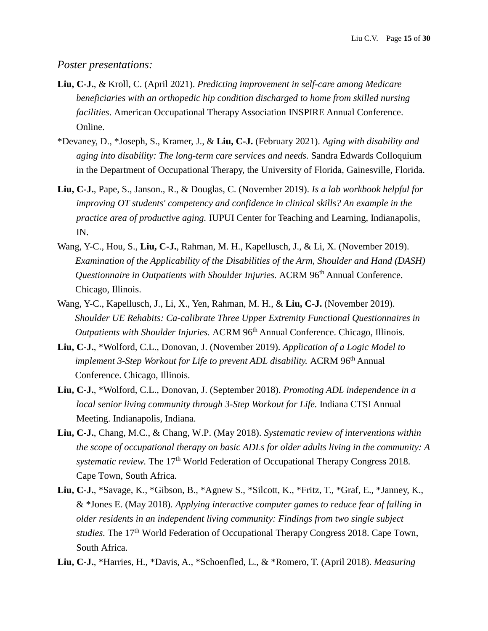#### *Poster presentations:*

- **Liu, C-J.**, & Kroll, C. (April 2021). *Predicting improvement in self-care among Medicare beneficiaries with an orthopedic hip condition discharged to home from skilled nursing facilities*. American Occupational Therapy Association INSPIRE Annual Conference. Online.
- \*Devaney, D., \*Joseph, S., Kramer, J., & **Liu, C-J.** (February 2021). *Aging with disability and aging into disability: The long-term care services and needs.* Sandra Edwards Colloquium in the Department of Occupational Therapy, the University of Florida, Gainesville, Florida.
- **Liu, C-J.**, Pape, S., Janson., R., & Douglas, C. (November 2019). *Is a lab workbook helpful for improving OT students' competency and confidence in clinical skills? An example in the practice area of productive aging.* **IUPUI Center for Teaching and Learning, Indianapolis,** IN.
- Wang, Y-C., Hou, S., **Liu, C-J.**, Rahman, M. H., Kapellusch, J., & Li, X. (November 2019). *Examination of the Applicability of the Disabilities of the Arm, Shoulder and Hand (DASH) Questionnaire in Outpatients with Shoulder Injuries.* ACRM 96<sup>th</sup> Annual Conference. Chicago, Illinois.
- Wang, Y-C., Kapellusch, J., Li, X., Yen, Rahman, M. H., & **Liu, C-J.** (November 2019). *Shoulder UE Rehabits: Ca-calibrate Three Upper Extremity Functional Questionnaires in Outpatients with Shoulder Injuries.* ACRM 96<sup>th</sup> Annual Conference. Chicago, Illinois.
- **Liu, C-J.**, \*Wolford, C.L., Donovan, J. (November 2019). *Application of a Logic Model to implement 3-Step Workout for Life to prevent ADL disability.* ACRM 96<sup>th</sup> Annual Conference. Chicago, Illinois.
- **Liu, C-J.**, \*Wolford, C.L., Donovan, J. (September 2018). *Promoting ADL independence in a local senior living community through 3-Step Workout for Life.* Indiana CTSI Annual Meeting. Indianapolis, Indiana.
- **Liu, C-J.**, Chang, M.C., & Chang, W.P. (May 2018). *Systematic review of interventions within the scope of occupational therapy on basic ADLs for older adults living in the community: A systematic review.* The 17<sup>th</sup> World Federation of Occupational Therapy Congress 2018. Cape Town, South Africa.
- **Liu, C-J.**, \*Savage, K., \*Gibson, B., \*Agnew S., \*Silcott, K., \*Fritz, T., \*Graf, E., \*Janney, K., & \*Jones E. (May 2018). *Applying interactive computer games to reduce fear of falling in older residents in an independent living community: Findings from two single subject studies.* The 17<sup>th</sup> World Federation of Occupational Therapy Congress 2018. Cape Town, South Africa.
- **Liu, C-J.**, \*Harries, H., \*Davis, A., \*Schoenfled, L., & \*Romero, T. (April 2018). *Measuring*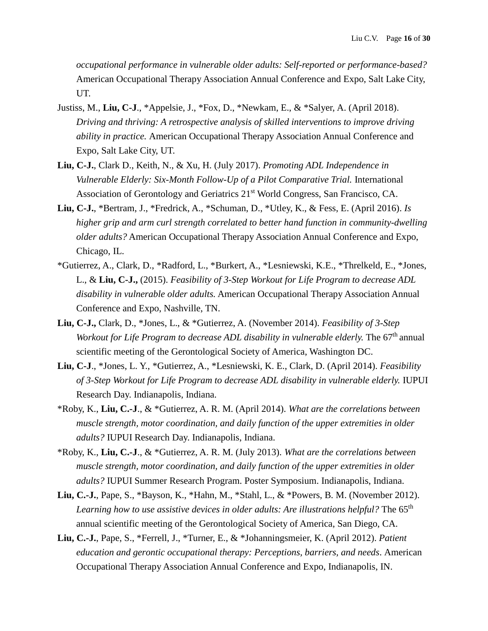*occupational performance in vulnerable older adults: Self-reported or performance-based?* American Occupational Therapy Association Annual Conference and Expo, Salt Lake City, UT.

- Justiss, M., **Liu, C-J**., \*Appelsie, J., \*Fox, D., \*Newkam, E., & \*Salyer, A. (April 2018). *Driving and thriving: A retrospective analysis of skilled interventions to improve driving ability in practice.* American Occupational Therapy Association Annual Conference and Expo, Salt Lake City, UT.
- **Liu, C-J.**, Clark D., Keith, N., & Xu, H. (July 2017). *Promoting ADL Independence in Vulnerable Elderly: Six-Month Follow-Up of a Pilot Comparative Trial.* International Association of Gerontology and Geriatrics 21<sup>st</sup> World Congress, San Francisco, CA.
- **Liu, C-J.**, \*Bertram, J., \*Fredrick, A., \*Schuman, D., \*Utley, K., & Fess, E. (April 2016). *Is higher grip and arm curl strength correlated to better hand function in community-dwelling older adults?* American Occupational Therapy Association Annual Conference and Expo, Chicago, IL.
- \*Gutierrez, A., Clark, D., \*Radford, L., \*Burkert, A., \*Lesniewski, K.E., \*Threlkeld, E., \*Jones, L., & **Liu, C-J.,** (2015). *Feasibility of 3-Step Workout for Life Program to decrease ADL disability in vulnerable older adults.* American Occupational Therapy Association Annual Conference and Expo, Nashville, TN.
- **Liu, C-J.,** Clark, D., \*Jones, L., & \*Gutierrez, A. (November 2014). *Feasibility of 3-Step Workout for Life Program to decrease ADL disability in vulnerable elderly.* The 67<sup>th</sup> annual scientific meeting of the Gerontological Society of America, Washington DC.
- **Liu, C-J**., \*Jones, L. Y., \*Gutierrez, A., \*Lesniewski, K. E., Clark, D. (April 2014). *Feasibility of 3-Step Workout for Life Program to decrease ADL disability in vulnerable elderly.* IUPUI Research Day. Indianapolis, Indiana.
- \*Roby, K., **Liu, C.-J**., & \*Gutierrez, A. R. M. (April 2014). *What are the correlations between muscle strength, motor coordination, and daily function of the upper extremities in older adults?* IUPUI Research Day. Indianapolis, Indiana.
- \*Roby, K., **Liu, C.-J**., & \*Gutierrez, A. R. M. (July 2013). *What are the correlations between muscle strength, motor coordination, and daily function of the upper extremities in older adults?* IUPUI Summer Research Program. Poster Symposium. Indianapolis, Indiana.
- **Liu, C.-J.**, Pape, S., \*Bayson, K., \*Hahn, M., \*Stahl, L., & \*Powers, B. M. (November 2012). Learning how to use assistive devices in older adults: Are illustrations helpful? The 65<sup>th</sup> annual scientific meeting of the Gerontological Society of America, San Diego, CA.
- **Liu, C.-J.**, Pape, S., \*Ferrell, J., \*Turner, E., & \*Johanningsmeier, K. (April 2012). *Patient education and gerontic occupational therapy: Perceptions, barriers, and needs*. American Occupational Therapy Association Annual Conference and Expo, Indianapolis, IN.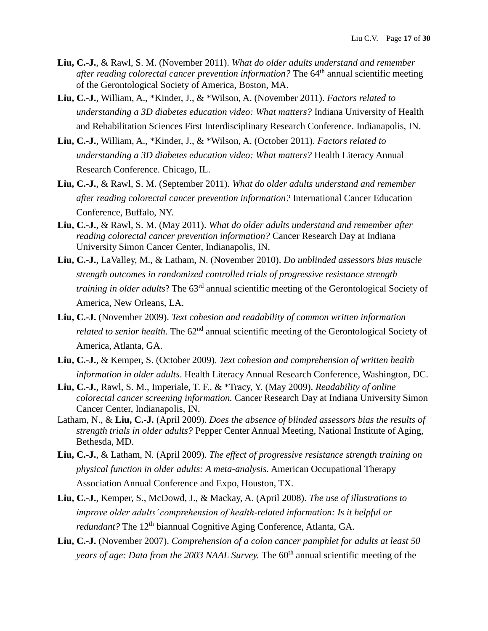- **Liu, C.-J.**, & Rawl, S. M. (November 2011). *What do older adults understand and remember after reading colorectal cancer prevention information?* The 64<sup>th</sup> annual scientific meeting of the Gerontological Society of America, Boston, MA.
- **Liu, C.-J.**, William, A., \*Kinder, J., & \*Wilson, A. (November 2011). *Factors related to understanding a 3D diabetes education video: What matters?* Indiana University of Health and Rehabilitation Sciences First Interdisciplinary Research Conference. Indianapolis, IN.
- **Liu, C.-J.**, William, A., \*Kinder, J., & \*Wilson, A. (October 2011). *Factors related to understanding a 3D diabetes education video: What matters?* Health Literacy Annual Research Conference. Chicago, IL.
- **Liu, C.-J.**, & Rawl, S. M. (September 2011). *What do older adults understand and remember after reading colorectal cancer prevention information?* International Cancer Education Conference, Buffalo, NY.
- **Liu, C.-J.**, & Rawl, S. M. (May 2011). *What do older adults understand and remember after reading colorectal cancer prevention information?* Cancer Research Day at Indiana University Simon Cancer Center, Indianapolis, IN.
- **Liu, C.-J.**, LaValley, M., & Latham, N. (November 2010). *Do unblinded assessors bias muscle strength outcomes in randomized controlled trials of progressive resistance strength training in older adults*? The 63rd annual scientific meeting of the Gerontological Society of America, New Orleans, LA.
- **Liu, C.-J.** (November 2009). *Text cohesion and readability of common written information related to senior health.* The 62<sup>nd</sup> annual scientific meeting of the Gerontological Society of America, Atlanta, GA.
- **Liu, C.-J.**, & Kemper, S. (October 2009). *Text cohesion and comprehension of written health information in older adults*. Health Literacy Annual Research Conference, Washington, DC.
- **Liu, C.-J.**, Rawl, S. M., Imperiale, T. F., & \*Tracy, Y. (May 2009). *Readability of online colorectal cancer screening information.* Cancer Research Day at Indiana University Simon Cancer Center, Indianapolis, IN.
- Latham, N., & **Liu, C.-J.** (April 2009). *Does the absence of blinded assessors bias the results of strength trials in older adults?* Pepper Center Annual Meeting, National Institute of Aging, Bethesda, MD.
- **Liu, C.-J.**, & Latham, N. (April 2009). *The effect of progressive resistance strength training on physical function in older adults: A meta-analysis.* American Occupational Therapy Association Annual Conference and Expo, Houston, TX.
- **Liu, C.-J.**, Kemper, S., McDowd, J., & Mackay, A. (April 2008). *The use of illustrations to improve older adults' comprehension of health-related information: Is it helpful or redundant?* The 12<sup>th</sup> biannual Cognitive Aging Conference, Atlanta, GA.
- **Liu, C.-J.** (November 2007). *Comprehension of a colon cancer pamphlet for adults at least 50 years of age: Data from the 2003 NAAL Survey.* The 60<sup>th</sup> annual scientific meeting of the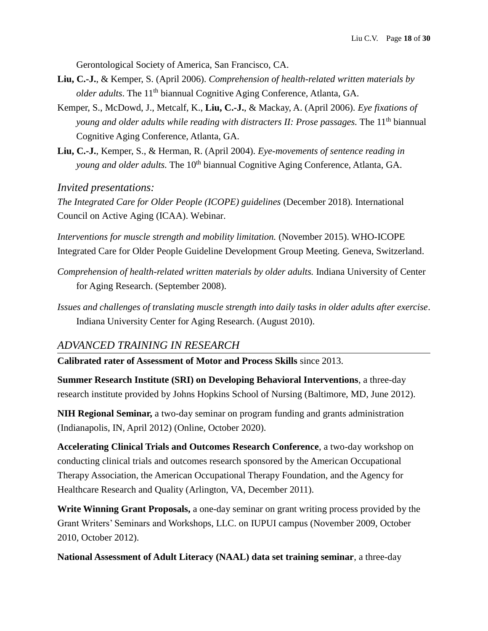Gerontological Society of America, San Francisco, CA.

- **Liu, C.-J.**, & Kemper, S. (April 2006). *Comprehension of health-related written materials by older adults*. The 11<sup>th</sup> biannual Cognitive Aging Conference, Atlanta, GA.
- Kemper, S., McDowd, J., Metcalf, K., **Liu, C.-J.**, & Mackay, A. (April 2006). *Eye fixations of young and older adults while reading with distracters II: Prose passages.* The 11th biannual Cognitive Aging Conference, Atlanta, GA.
- **Liu, C.-J.**, Kemper, S., & Herman, R. (April 2004). *Eye-movements of sentence reading in young and older adults.* The 10<sup>th</sup> biannual Cognitive Aging Conference, Atlanta, GA.

*Invited presentations:*

*The Integrated Care for Older People (ICOPE) guidelines (December 2018). International* Council on Active Aging (ICAA). Webinar.

*Interventions for muscle strength and mobility limitation.* (November 2015). WHO-ICOPE Integrated Care for Older People Guideline Development Group Meeting. Geneva, Switzerland.

- *Comprehension of health-related written materials by older adults.* Indiana University of Center for Aging Research. (September 2008).
- *Issues and challenges of translating muscle strength into daily tasks in older adults after exercise*. Indiana University Center for Aging Research. (August 2010).

# *ADVANCED TRAINING IN RESEARCH*

**Calibrated rater of Assessment of Motor and Process Skills** since 2013.

**Summer Research Institute (SRI) on Developing Behavioral Interventions**, a three-day research institute provided by Johns Hopkins School of Nursing (Baltimore, MD, June 2012).

**NIH Regional Seminar,** a two-day seminar on program funding and grants administration (Indianapolis, IN, April 2012) (Online, October 2020).

**Accelerating Clinical Trials and Outcomes Research Conference**, a two-day workshop on conducting clinical trials and outcomes research sponsored by the American Occupational Therapy Association, the American Occupational Therapy Foundation, and the Agency for Healthcare Research and Quality (Arlington, VA, December 2011).

**Write Winning Grant Proposals,** a one-day seminar on grant writing process provided by the Grant Writers' Seminars and Workshops, LLC. on IUPUI campus (November 2009, October 2010, October 2012).

**National Assessment of Adult Literacy (NAAL) data set training seminar**, a three-day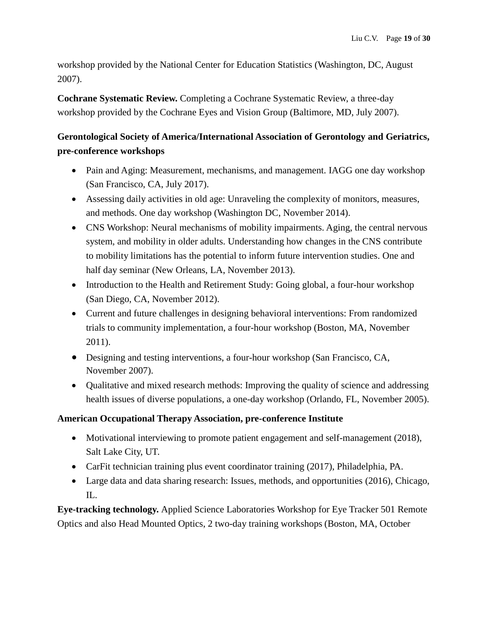workshop provided by the National Center for Education Statistics (Washington, DC, August 2007).

**Cochrane Systematic Review.** Completing a Cochrane Systematic Review, a three-day workshop provided by the Cochrane Eyes and Vision Group (Baltimore, MD, July 2007).

# **Gerontological Society of America/International Association of Gerontology and Geriatrics, pre-conference workshops**

- Pain and Aging: Measurement, mechanisms, and management. IAGG one day workshop (San Francisco, CA, July 2017).
- Assessing daily activities in old age: Unraveling the complexity of monitors, measures, and methods. One day workshop (Washington DC, November 2014).
- CNS Workshop: Neural mechanisms of mobility impairments. Aging, the central nervous system, and mobility in older adults. Understanding how changes in the CNS contribute to mobility limitations has the potential to inform future intervention studies. One and half day seminar (New Orleans, LA, November 2013).
- Introduction to the Health and Retirement Study: Going global, a four-hour workshop (San Diego, CA, November 2012).
- Current and future challenges in designing behavioral interventions: From randomized trials to community implementation, a four-hour workshop (Boston, MA, November 2011).
- Designing and testing interventions, a four-hour workshop (San Francisco, CA, November 2007).
- Qualitative and mixed research methods: Improving the quality of science and addressing health issues of diverse populations, a one-day workshop (Orlando, FL, November 2005).

# **American Occupational Therapy Association, pre-conference Institute**

- Motivational interviewing to promote patient engagement and self-management (2018), Salt Lake City, UT.
- CarFit technician training plus event coordinator training (2017), Philadelphia, PA.
- Large data and data sharing research: Issues, methods, and opportunities (2016), Chicago, IL.

**Eye-tracking technology.** Applied Science Laboratories Workshop for Eye Tracker 501 Remote Optics and also Head Mounted Optics, 2 two-day training workshops (Boston, MA, October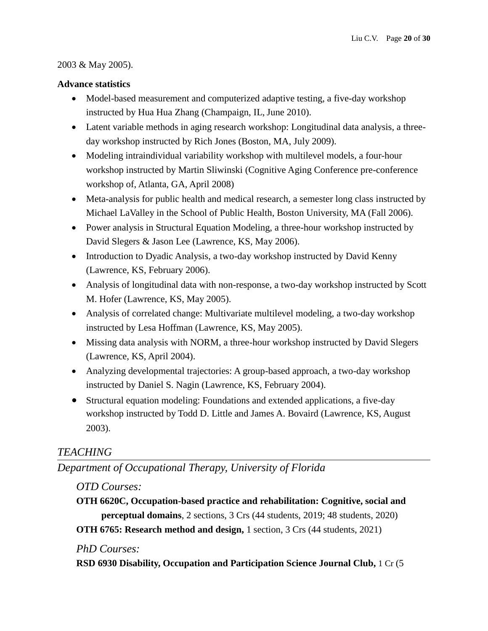### 2003 & May 2005).

### **Advance statistics**

- Model-based measurement and computerized adaptive testing, a five-day workshop instructed by Hua Hua Zhang (Champaign, IL, June 2010).
- Latent variable methods in aging research workshop: Longitudinal data analysis, a threeday workshop instructed by Rich Jones (Boston, MA, July 2009).
- Modeling intraindividual variability workshop with multilevel models, a four-hour workshop instructed by Martin Sliwinski (Cognitive Aging Conference pre-conference workshop of, Atlanta, GA, April 2008)
- Meta-analysis for public health and medical research, a semester long class instructed by Michael LaValley in the School of Public Health, Boston University, MA (Fall 2006).
- Power analysis in Structural Equation Modeling, a three-hour workshop instructed by David Slegers & Jason Lee (Lawrence, KS, May 2006).
- Introduction to Dyadic Analysis, a two-day workshop instructed by David Kenny (Lawrence, KS, February 2006).
- Analysis of longitudinal data with non-response, a two-day workshop instructed by Scott M. Hofer (Lawrence, KS, May 2005).
- Analysis of correlated change: Multivariate multilevel modeling, a two-day workshop instructed by Lesa Hoffman (Lawrence, KS, May 2005).
- Missing data analysis with NORM, a three-hour workshop instructed by David Slegers (Lawrence, KS, April 2004).
- Analyzing developmental trajectories: A group-based approach, a two-day workshop instructed by Daniel S. Nagin (Lawrence, KS, February 2004).
- Structural equation modeling: Foundations and extended applications, a five-day workshop instructed by Todd D. Little and James A. Bovaird (Lawrence, KS, August 2003).

# *TEACHING*

*Department of Occupational Therapy, University of Florida*

# *OTD Courses:*

**OTH 6620C, Occupation-based practice and rehabilitation: Cognitive, social and perceptual domains**, 2 sections, 3 Crs (44 students, 2019; 48 students, 2020)

**OTH 6765: Research method and design,** 1 section, 3 Crs (44 students, 2021)

# *PhD Courses:*

**RSD 6930 Disability, Occupation and Participation Science Journal Club,** 1 Cr (5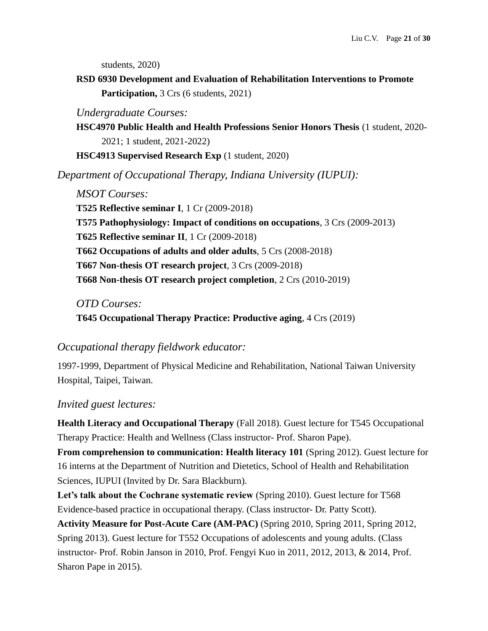students, 2020)

**RSD 6930 Development and Evaluation of Rehabilitation Interventions to Promote Participation,** 3 Crs (6 students, 2021)

*Undergraduate Courses:*

**HSC4970 Public Health and Health Professions Senior Honors Thesis** (1 student, 2020- 2021; 1 student, 2021-2022)

**HSC4913 Supervised Research Exp** (1 student, 2020)

*Department of Occupational Therapy, Indiana University (IUPUI):*

*MSOT Courses:* **T525 Reflective seminar I**, 1 Cr (2009-2018) **T575 Pathophysiology: Impact of conditions on occupations**, 3 Crs (2009-2013) **T625 Reflective seminar II**, 1 Cr (2009-2018) **T662 Occupations of adults and older adults**, 5 Crs (2008-2018) **T667 Non-thesis OT research project**, 3 Crs (2009-2018) **T668 Non-thesis OT research project completion**, 2 Crs (2010-2019)

*OTD Courses:*

**T645 Occupational Therapy Practice: Productive aging**, 4 Crs (2019)

# *Occupational therapy fieldwork educator:*

1997-1999, Department of Physical Medicine and Rehabilitation, National Taiwan University Hospital, Taipei, Taiwan.

#### *Invited guest lectures:*

**Health Literacy and Occupational Therapy** (Fall 2018). Guest lecture for T545 Occupational Therapy Practice: Health and Wellness (Class instructor- Prof. Sharon Pape).

**From comprehension to communication: Health literacy 101** (Spring 2012). Guest lecture for 16 interns at the Department of Nutrition and Dietetics, School of Health and Rehabilitation Sciences, IUPUI (Invited by Dr. Sara Blackburn).

**Let's talk about the Cochrane systematic review** (Spring 2010). Guest lecture for T568 Evidence-based practice in occupational therapy. (Class instructor- Dr. Patty Scott).

**Activity Measure for Post-Acute Care (AM-PAC)** (Spring 2010, Spring 2011, Spring 2012, Spring 2013). Guest lecture for T552 Occupations of adolescents and young adults. (Class instructor- Prof. Robin Janson in 2010, Prof. Fengyi Kuo in 2011, 2012, 2013, & 2014, Prof. Sharon Pape in 2015).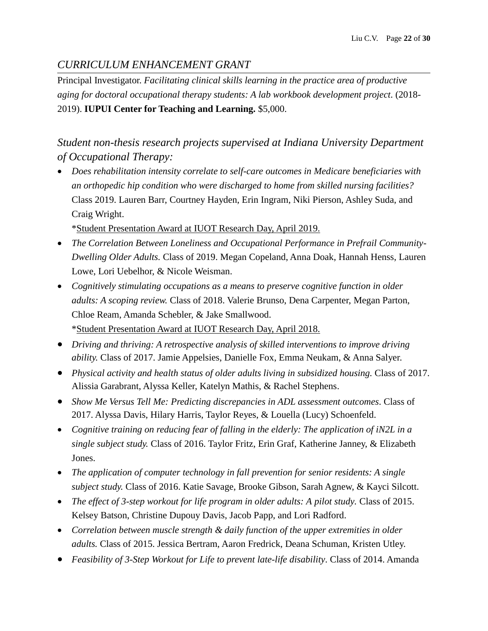# *CURRICULUM ENHANCEMENT GRANT*

Principal Investigator. *Facilitating clinical skills learning in the practice area of productive aging for doctoral occupational therapy students: A lab workbook development project*. (2018- 2019). **IUPUI Center for Teaching and Learning.** \$5,000.

*Student non-thesis research projects supervised at Indiana University Department of Occupational Therapy:*

• Does rehabilitation intensity correlate to self-care outcomes in Medicare beneficiaries with *an orthopedic hip condition who were discharged to home from skilled nursing facilities?* Class 2019. Lauren Barr, Courtney Hayden, Erin Ingram, Niki Pierson, Ashley Suda, and Craig Wright.

\*Student Presentation Award at IUOT Research Day, April 2019.

- *The Correlation Between Loneliness and Occupational Performance in Prefrail Community-Dwelling Older Adults.* Class of 2019. Megan Copeland, Anna Doak, Hannah Henss, Lauren Lowe, Lori Uebelhor, & Nicole Weisman.
- *Cognitively stimulating occupations as a means to preserve cognitive function in older adults: A scoping review.* Class of 2018. Valerie Brunso, Dena Carpenter, Megan Parton, Chloe Ream, Amanda Schebler, & Jake Smallwood. \*Student Presentation Award at IUOT Research Day, April 2018.
- *Driving and thriving: A retrospective analysis of skilled interventions to improve driving ability.* Class of 2017. Jamie Appelsies, Danielle Fox, Emma Neukam, & Anna Salyer.
- *Physical activity and health status of older adults living in subsidized housing.* Class of 2017. Alissia Garabrant, Alyssa Keller, Katelyn Mathis, & Rachel Stephens.
- *Show Me Versus Tell Me: Predicting discrepancies in ADL assessment outcomes*. Class of 2017. Alyssa Davis, Hilary Harris, Taylor Reyes, & Louella (Lucy) Schoenfeld.
- *Cognitive training on reducing fear of falling in the elderly: The application of iN2L in a single subject study.* Class of 2016. Taylor Fritz, Erin Graf, Katherine Janney, & Elizabeth Jones.
- The application of computer technology in fall prevention for *senior residents: A single subject study.* Class of 2016. Katie Savage, Brooke Gibson, Sarah Agnew, & Kayci Silcott.
- The effect of 3-step workout for life program in older adults: A pilot study. Class of 2015. Kelsey Batson, Christine Dupouy Davis, Jacob Papp, and Lori Radford.
- *Correlation between muscle strength & daily function of the upper extremities in older adults.* Class of 2015. Jessica Bertram, Aaron Fredrick, Deana Schuman, Kristen Utley.
- *Feasibility of 3-Step Workout for Life to prevent late-life disability*. Class of 2014. Amanda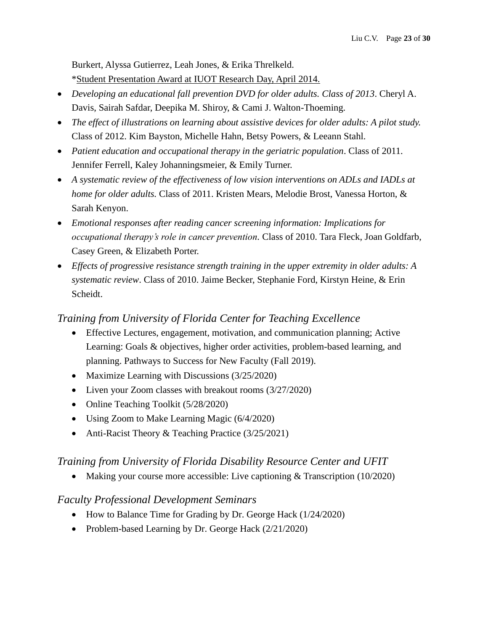Burkert, Alyssa Gutierrez, Leah Jones, & Erika Threlkeld. \*Student Presentation Award at IUOT Research Day, April 2014.

- *Developing an educational fall prevention DVD for older adults. Class of 2013*. Cheryl A. Davis, Sairah Safdar, Deepika M. Shiroy, & Cami J. Walton-Thoeming.
- *The effect of illustrations on learning about assistive devices for older adults: A pilot study.* Class of 2012. Kim Bayston, Michelle Hahn, Betsy Powers, & Leeann Stahl.
- *Patient education and occupational therapy in the geriatric population*. Class of 2011. Jennifer Ferrell, Kaley Johanningsmeier, & Emily Turner.
- *A systematic review of the effectiveness of low vision interventions on ADLs and IADLs at home for older adults.* Class of 2011. Kristen Mears, Melodie Brost, Vanessa Horton, & Sarah Kenyon.
- *Emotional responses after reading cancer screening information: Implications for occupational therapy's role in cancer prevention.* Class of 2010. Tara Fleck, Joan Goldfarb, Casey Green, & Elizabeth Porter.
- *Effects of progressive resistance strength training in the upper extremity in older adults: A systematic review*. Class of 2010. Jaime Becker, Stephanie Ford, Kirstyn Heine, & Erin Scheidt.

# *Training from University of Florida Center for Teaching Excellence*

- Effective Lectures, engagement, motivation, and communication planning; Active Learning: Goals & objectives, higher order activities, problem-based learning, and planning. Pathways to Success for New Faculty (Fall 2019).
- Maximize Learning with Discussions (3/25/2020)
- Liven your Zoom classes with breakout rooms (3/27/2020)
- Online Teaching Toolkit (5/28/2020)
- Using Zoom to Make Learning Magic (6/4/2020)
- Anti-Racist Theory & Teaching Practice (3/25/2021)

# *Training from University of Florida Disability Resource Center and UFIT*

• Making your course more accessible: Live captioning & Transcription (10/2020)

# *Faculty Professional Development Seminars*

- How to Balance Time for Grading by Dr. George Hack (1/24/2020)
- Problem-based Learning by Dr. George Hack (2/21/2020)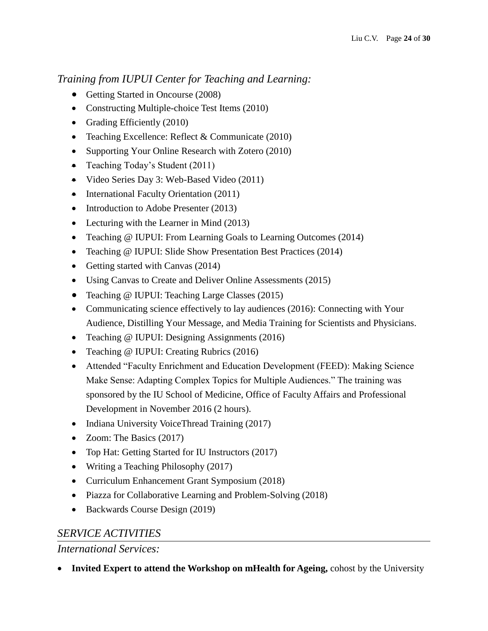# *Training from IUPUI Center for Teaching and Learning:*

- Getting Started in Oncourse (2008)
- Constructing Multiple-choice Test Items (2010)
- Grading Efficiently (2010)
- Teaching Excellence: Reflect & Communicate (2010)
- Supporting Your Online Research with Zotero (2010)
- Teaching Today's Student (2011)
- Video Series Day 3: Web-Based Video (2011)
- International Faculty Orientation (2011)
- Introduction to Adobe Presenter (2013)
- Lecturing with the Learner in Mind (2013)
- Teaching @ IUPUI: From Learning Goals to Learning Outcomes (2014)
- Teaching @ IUPUI: Slide Show Presentation Best Practices (2014)
- Getting started with Canvas (2014)
- Using Canvas to Create and Deliver Online Assessments (2015)
- Teaching @ IUPUI: Teaching Large Classes (2015)
- Communicating science effectively to lay audiences (2016): Connecting with Your Audience, Distilling Your Message, and Media Training for Scientists and Physicians.
- Teaching @ IUPUI: Designing Assignments (2016)
- Teaching @ IUPUI: Creating Rubrics (2016)
- Attended "Faculty Enrichment and Education Development (FEED): Making Science Make Sense: Adapting Complex Topics for Multiple Audiences." The training was sponsored by the IU School of Medicine, Office of Faculty Affairs and Professional Development in November 2016 (2 hours).
- Indiana University VoiceThread Training (2017)
- Zoom: The Basics (2017)
- Top Hat: Getting Started for IU Instructors (2017)
- Writing a Teaching Philosophy (2017)
- Curriculum Enhancement Grant Symposium (2018)
- Piazza for Collaborative Learning and Problem-Solving (2018)
- Backwards Course Design (2019)

# *SERVICE ACTIVITIES*

# *International Services:*

**Invited Expert to attend the Workshop on mHealth for Ageing,** cohost by the University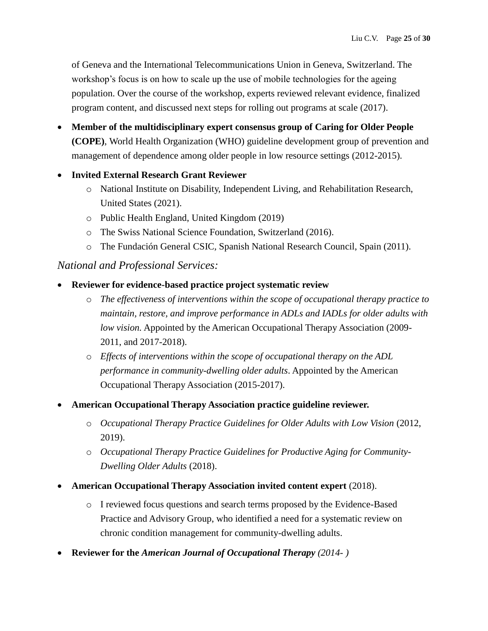of Geneva and the International Telecommunications Union in Geneva, Switzerland. The workshop's focus is on how to scale up the use of mobile technologies for the ageing population. Over the course of the workshop, experts reviewed relevant evidence, finalized program content, and discussed next steps for rolling out programs at scale (2017).

- **Member of the multidisciplinary expert consensus group of Caring for Older People (COPE)**, World Health Organization (WHO) guideline development group of prevention and management of dependence among older people in low resource settings (2012-2015).
- **Invited External Research Grant Reviewer**
	- o National Institute on Disability, Independent Living, and Rehabilitation Research, United States (2021).
	- o Public Health England, United Kingdom (2019)
	- o The Swiss National Science Foundation, Switzerland (2016).
	- o The Fundación General CSIC*,* Spanish National Research Council, Spain (2011).

### *National and Professional Services:*

- **Reviewer for evidence-based practice project systematic review**
	- o *The effectiveness of interventions within the scope of occupational therapy practice to maintain, restore, and improve performance in ADLs and IADLs for older adults with low vision.* Appointed by the American Occupational Therapy Association (2009- 2011, and 2017-2018).
	- o *Effects of interventions within the scope of occupational therapy on the ADL performance in community-dwelling older adults*. Appointed by the American Occupational Therapy Association (2015-2017).
- **American Occupational Therapy Association practice guideline reviewer.**
	- o *Occupational Therapy Practice Guidelines for Older Adults with Low Vision* (2012, 2019).
	- o *Occupational Therapy Practice Guidelines for Productive Aging for Community-Dwelling Older Adults* (2018).
- **American Occupational Therapy Association invited content expert** (2018).
	- o I reviewed focus questions and search terms proposed by the Evidence-Based Practice and Advisory Group, who identified a need for a systematic review on chronic condition management for community-dwelling adults.
- **Reviewer for the** *American Journal of Occupational Therapy (2014- )*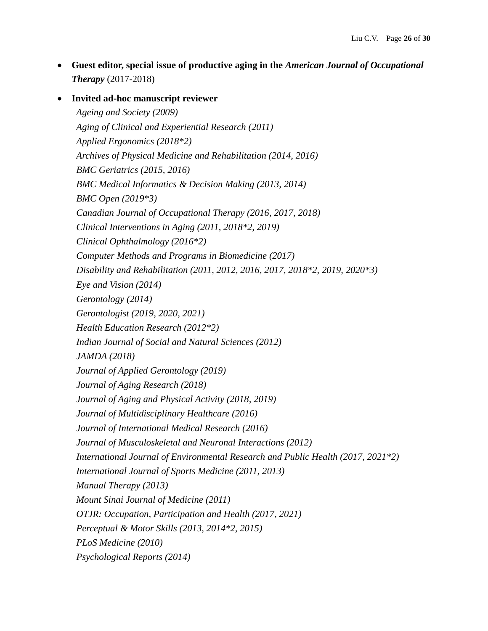**Guest editor, special issue of productive aging in the** *American Journal of Occupational Therapy* (2017-2018)

 **Invited ad-hoc manuscript reviewer** *Ageing and Society (2009) Aging of Clinical and Experiential Research (2011) Applied Ergonomics (2018\*2) Archives of Physical Medicine and Rehabilitation (2014, 2016) BMC Geriatrics (2015, 2016) BMC Medical Informatics & Decision Making (2013, 2014) BMC Open (2019\*3) Canadian Journal of Occupational Therapy (2016, 2017, 2018) Clinical Interventions in Aging (2011, 2018\*2, 2019) Clinical Ophthalmology (2016\*2) Computer Methods and Programs in Biomedicine (2017) Disability and Rehabilitation (2011, 2012, 2016, 2017, 2018\*2, 2019, 2020\*3) Eye and Vision (2014) Gerontology (2014) Gerontologist (2019, 2020, 2021) Health Education Research (2012\*2) Indian Journal of Social and Natural Sciences (2012) JAMDA (2018) Journal of Applied Gerontology (2019) Journal of Aging Research (2018) Journal of Aging and Physical Activity (2018, 2019) Journal of Multidisciplinary Healthcare (2016) Journal of International Medical Research (2016) Journal of Musculoskeletal and Neuronal Interactions (2012) International Journal of Environmental Research and Public Health (2017, 2021\*2) International Journal of Sports Medicine (2011, 2013) Manual Therapy (2013) Mount Sinai Journal of Medicine (2011) OTJR: Occupation, Participation and Health (2017, 2021) Perceptual & Motor Skills (2013, 2014\*2, 2015) PLoS Medicine (2010) Psychological Reports (2014)*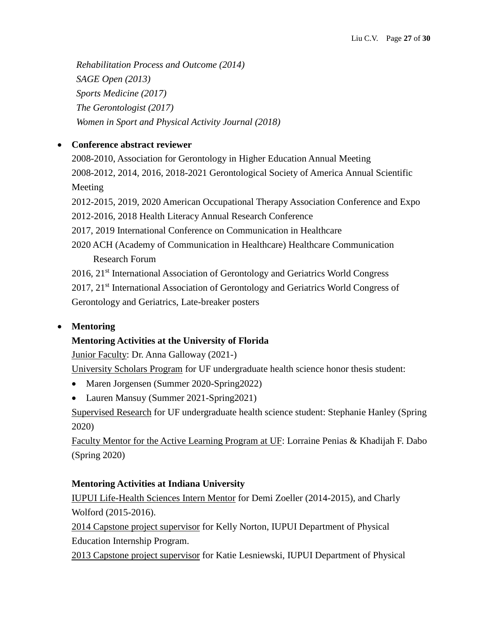*Rehabilitation Process and Outcome (2014) SAGE Open (2013) Sports Medicine (2017) The Gerontologist (2017) Women in Sport and Physical Activity Journal (2018)*

# **Conference abstract reviewer**

2008-2010, Association for Gerontology in Higher Education Annual Meeting 2008-2012, 2014, 2016, 2018-2021 Gerontological Society of America Annual Scientific Meeting 2012-2015, 2019, 2020 American Occupational Therapy Association Conference and Expo 2012-2016, 2018 Health Literacy Annual Research Conference 2017, 2019 International Conference on Communication in Healthcare 2020 ACH (Academy of Communication in Healthcare) Healthcare Communication Research Forum 2016, 21<sup>st</sup> International Association of Gerontology and Geriatrics World Congress 2017, 21<sup>st</sup> International Association of Gerontology and Geriatrics World Congress of

Gerontology and Geriatrics, Late-breaker posters

# **Mentoring**

# **Mentoring Activities at the University of Florida**

Junior Faculty: Dr. Anna Galloway (2021-)

University Scholars Program for UF undergraduate health science honor thesis student:

- Maren Jorgensen (Summer 2020-Spring2022)
- Lauren Mansuy (Summer 2021-Spring 2021)

Supervised Research for UF undergraduate health science student: Stephanie Hanley (Spring 2020)

Faculty Mentor for the Active Learning Program at UF: Lorraine Penias & Khadijah F. Dabo (Spring 2020)

# **Mentoring Activities at Indiana University**

IUPUI Life-Health Sciences Intern Mentor for Demi Zoeller (2014-2015), and Charly Wolford (2015-2016).

2014 Capstone project supervisor for Kelly Norton, IUPUI Department of Physical Education Internship Program.

2013 Capstone project supervisor for Katie Lesniewski, IUPUI Department of Physical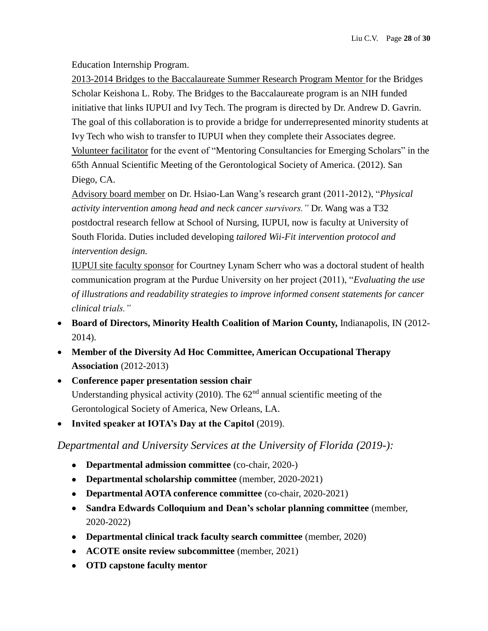Education Internship Program.

2013-2014 Bridges to the Baccalaureate Summer Research Program Mentor for the Bridges Scholar Keishona L. Roby. The Bridges to the Baccalaureate program is an NIH funded initiative that links IUPUI and Ivy Tech. The program is directed by Dr. Andrew D. Gavrin. The goal of this collaboration is to provide a bridge for underrepresented minority students at Ivy Tech who wish to transfer to IUPUI when they complete their Associates degree. Volunteer facilitator for the event of "Mentoring Consultancies for Emerging Scholars" in the 65th Annual Scientific Meeting of the Gerontological Society of America. (2012). San Diego, CA.

Advisory board member on Dr. Hsiao-Lan Wang's research grant (2011-2012), "*Physical activity intervention among head and neck cancer survivors."* Dr. Wang was a T32 postdoctral research fellow at School of Nursing, IUPUI, now is faculty at University of South Florida. Duties included developing *tailored Wii-Fit intervention protocol and intervention design.*

IUPUI site faculty sponsor for Courtney Lynam Scherr who was a doctoral student of health communication program at the Purdue University on her project (2011), "*Evaluating the use of illustrations and readability strategies to improve informed consent statements for cancer clinical trials."*

- **Board of Directors, Minority Health Coalition of Marion County,** Indianapolis, IN (2012- 2014).
- **Member of the Diversity Ad Hoc Committee, American Occupational Therapy Association** (2012-2013)
- **Conference paper presentation session chair** Understanding physical activity (2010). The  $62<sup>nd</sup>$  annual scientific meeting of the Gerontological Society of America, New Orleans, LA.
- **Invited speaker at IOTA's Day at the Capitol** (2019).

*Departmental and University Services at the University of Florida (2019-):*

- **Departmental admission committee** (co-chair, 2020-)
- **Departmental scholarship committee** (member, 2020-2021)
- **Departmental AOTA conference committee** (co-chair, 2020-2021)
- **Sandra Edwards Colloquium and Dean's scholar planning committee** (member, 2020-2022)
- **Departmental clinical track faculty search committee** (member, 2020)
- **ACOTE onsite review subcommittee** (member, 2021)
- **OTD capstone faculty mentor**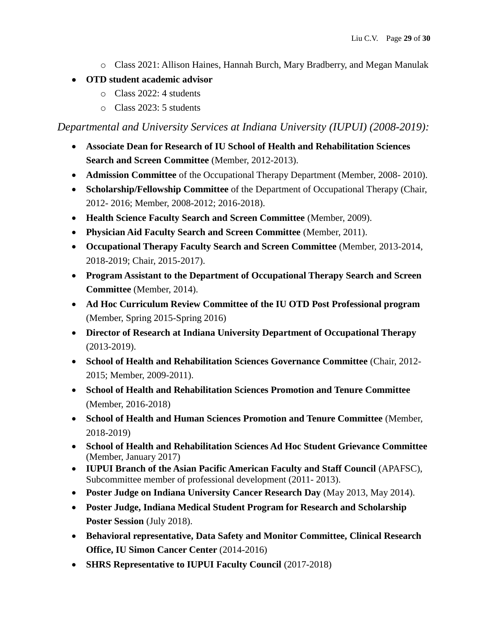- o Class 2021: Allison Haines, Hannah Burch, Mary Bradberry, and Megan Manulak
- **OTD student academic advisor**
	- o Class 2022: 4 students
	- o Class 2023: 5 students

*Departmental and University Services at Indiana University (IUPUI) (2008-2019):*

- **Associate Dean for Research of IU School of Health and Rehabilitation Sciences Search and Screen Committee** (Member, 2012-2013).
- **Admission Committee** of the Occupational Therapy Department (Member, 2008- 2010).
- **Scholarship/Fellowship Committee** of the Department of Occupational Therapy (Chair, 2012- 2016; Member, 2008-2012; 2016-2018).
- **Health Science Faculty Search and Screen Committee** (Member, 2009).
- **Physician Aid Faculty Search and Screen Committee** (Member, 2011).
- **Occupational Therapy Faculty Search and Screen Committee** (Member, 2013-2014, 2018-2019; Chair, 2015-2017).
- **Program Assistant to the Department of Occupational Therapy Search and Screen Committee** (Member, 2014).
- **Ad Hoc Curriculum Review Committee of the IU OTD Post Professional program**  (Member, Spring 2015-Spring 2016)
- **Director of Research at Indiana University Department of Occupational Therapy**  (2013-2019).
- **School of Health and Rehabilitation Sciences Governance Committee** (Chair, 2012- 2015; Member, 2009-2011).
- **School of Health and Rehabilitation Sciences Promotion and Tenure Committee**  (Member, 2016-2018)
- **School of Health and Human Sciences Promotion and Tenure Committee** (Member, 2018-2019)
- **School of Health and Rehabilitation Sciences Ad Hoc Student Grievance Committee**  (Member, January 2017)
- **IUPUI Branch of the Asian Pacific American Faculty and Staff Council** (APAFSC), Subcommittee member of professional development (2011- 2013).
- **Poster Judge on Indiana University Cancer Research Day** (May 2013, May 2014).
- **Poster Judge, Indiana Medical Student Program for Research and Scholarship Poster Session** (July 2018).
- **Behavioral representative, Data Safety and Monitor Committee, Clinical Research Office, IU Simon Cancer Center** (2014-2016)
- **SHRS Representative to IUPUI Faculty Council (2017-2018)**